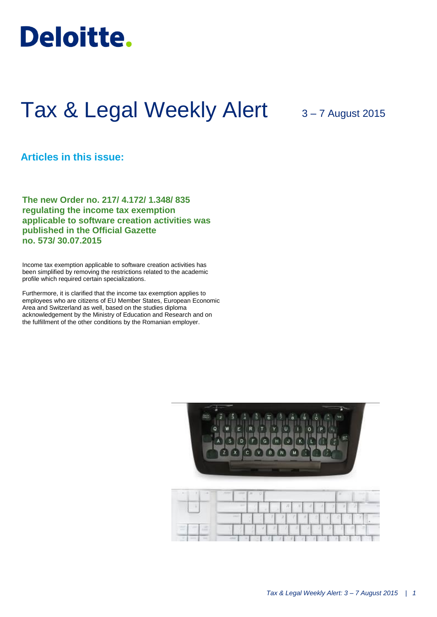

# Tax & Legal Weekly Alert 3-7 August 2015

# **Articles in this issue:**

**The new Order no. 217/ 4.172/ 1.348/ 835 regulating the income tax exemption applicable to software creation activities was published in the Official Gazette no. 573/ 30.07.2015**

Income tax exemption applicable to software creation activities has been simplified by removing the restrictions related to the academic profile which required certain specializations.

Furthermore, it is clarified that the income tax exemption applies to employees who are citizens of EU Member States, European Economic Area and Switzerland as well, based on the studies diploma acknowledgement by the Ministry of Education and Research and on the fulfillment of the other conditions by the Romanian employer.